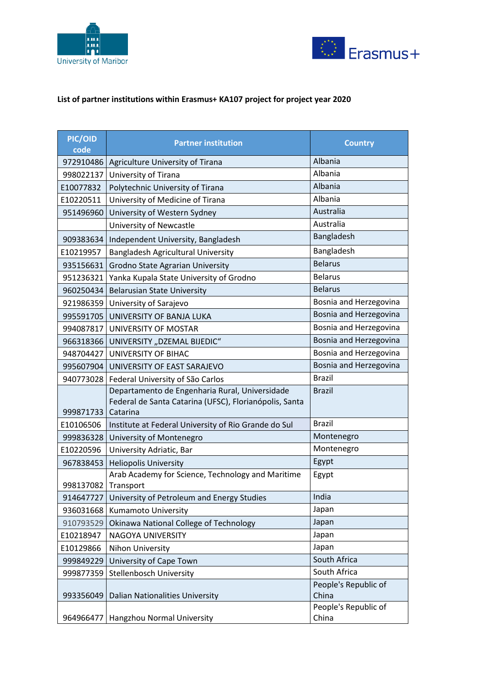



## **List of partner institutions within Erasmus+ KA107 project for project year 2020**

| PIC/OID<br>code | <b>Partner institution</b>                                                                                           | <b>Country</b>                |
|-----------------|----------------------------------------------------------------------------------------------------------------------|-------------------------------|
| 972910486       | Agriculture University of Tirana                                                                                     | Albania                       |
| 998022137       | University of Tirana                                                                                                 | Albania                       |
| E10077832       | Polytechnic University of Tirana                                                                                     | Albania                       |
| E10220511       | University of Medicine of Tirana                                                                                     | Albania                       |
| 951496960       | University of Western Sydney                                                                                         | Australia                     |
|                 | University of Newcastle                                                                                              | Australia                     |
| 909383634       | Independent University, Bangladesh                                                                                   | Bangladesh                    |
| E10219957       | Bangladesh Agricultural University                                                                                   | Bangladesh                    |
| 935156631       | Grodno State Agrarian University                                                                                     | <b>Belarus</b>                |
| 951236321       | Yanka Kupala State University of Grodno                                                                              | <b>Belarus</b>                |
| 960250434       | <b>Belarusian State University</b>                                                                                   | <b>Belarus</b>                |
| 921986359       | University of Sarajevo                                                                                               | Bosnia and Herzegovina        |
| 995591705       | UNIVERSITY OF BANJA LUKA                                                                                             | Bosnia and Herzegovina        |
| 994087817       | UNIVERSITY OF MOSTAR                                                                                                 | Bosnia and Herzegovina        |
|                 | 966318366 UNIVERSITY "DZEMAL BIJEDIC"                                                                                | Bosnia and Herzegovina        |
| 948704427       | UNIVERSITY OF BIHAC                                                                                                  | Bosnia and Herzegovina        |
| 995607904       | UNIVERSITY OF EAST SARAJEVO                                                                                          | Bosnia and Herzegovina        |
| 940773028       | Federal University of São Carlos                                                                                     | <b>Brazil</b>                 |
| 999871733       | Departamento de Engenharia Rural, Universidade<br>Federal de Santa Catarina (UFSC), Florianópolis, Santa<br>Catarina | <b>Brazil</b>                 |
| E10106506       | Institute at Federal University of Rio Grande do Sul                                                                 | <b>Brazil</b>                 |
| 999836328       | University of Montenegro                                                                                             | Montenegro                    |
| E10220596       | University Adriatic, Bar                                                                                             | Montenegro                    |
| 967838453       | <b>Heliopolis University</b>                                                                                         | Egypt                         |
| 998137082       | Arab Academy for Science, Technology and Maritime<br>Transport                                                       | Egypt                         |
| 914647727       | University of Petroleum and Energy Studies                                                                           | India                         |
| 936031668       | Kumamoto University                                                                                                  | Japan                         |
| 910793529       | Okinawa National College of Technology                                                                               | Japan                         |
| E10218947       | NAGOYA UNIVERSITY                                                                                                    | Japan                         |
| E10129866       | Nihon University                                                                                                     | Japan                         |
| 999849229       | University of Cape Town                                                                                              | South Africa                  |
| 999877359       | <b>Stellenbosch University</b>                                                                                       | South Africa                  |
| 993356049       | <b>Dalian Nationalities University</b>                                                                               | People's Republic of<br>China |
| 964966477       | Hangzhou Normal University                                                                                           | People's Republic of<br>China |